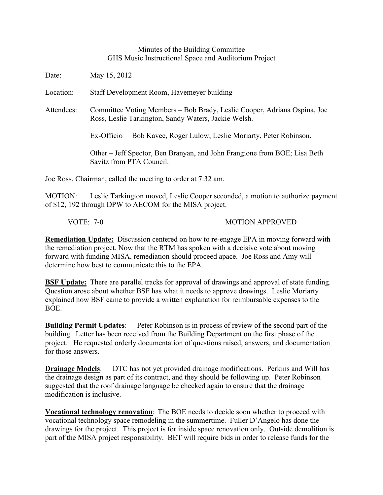## Minutes of the Building Committee GHS Music Instructional Space and Auditorium Project

Date: May 15, 2012 Location: Staff Development Room, Havemeyer building Attendees: Committee Voting Members – Bob Brady, Leslie Cooper, Adriana Ospina, Joe Ross, Leslie Tarkington, Sandy Waters, Jackie Welsh. Ex-Officio – Bob Kavee, Roger Lulow, Leslie Moriarty, Peter Robinson. Other – Jeff Spector, Ben Branyan, and John Frangione from BOE; Lisa Beth Savitz from PTA Council. Joe Ross, Chairman, called the meeting to order at 7:32 am.

MOTION: Leslie Tarkington moved, Leslie Cooper seconded, a motion to authorize payment of \$12, 192 through DPW to AECOM for the MISA project.

VOTE: 7-0 MOTION APPROVED

**Remediation Update:** Discussion centered on how to re-engage EPA in moving forward with the remediation project. Now that the RTM has spoken with a decisive vote about moving forward with funding MISA, remediation should proceed apace. Joe Ross and Amy will determine how best to communicate this to the EPA.

**BSF Update:** There are parallel tracks for approval of drawings and approval of state funding. Question arose about whether BSF has what it needs to approve drawings. Leslie Moriarty explained how BSF came to provide a written explanation for reimbursable expenses to the BOE.

**Building Permit Updates**: Peter Robinson is in process of review of the second part of the building. Letter has been received from the Building Department on the first phase of the project. He requested orderly documentation of questions raised, answers, and documentation for those answers.

**Drainage Models:** DTC has not yet provided drainage modifications. Perkins and Will has the drainage design as part of its contract, and they should be following up. Peter Robinson suggested that the roof drainage language be checked again to ensure that the drainage modification is inclusive.

**Vocational technology renovation**: The BOE needs to decide soon whether to proceed with vocational technology space remodeling in the summertime. Fuller D'Angelo has done the drawings for the project. This project is for inside space renovation only. Outside demolition is part of the MISA project responsibility. BET will require bids in order to release funds for the